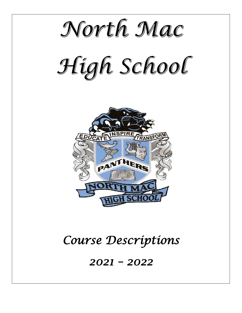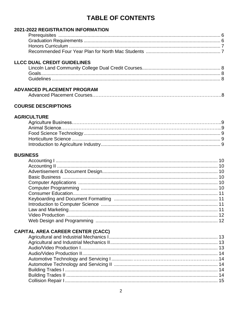## **TABLE OF CONTENTS**

## 2021-2022 REGISTRATION INFORMATION

### **LLCC DUAL CREDIT GUIDELINES**

## **ADVANCED PLACEMENT PROGRAM**

|--|--|--|

## **COURSE DESCRIPTIONS**

### **AGRICULTURE**

### **BUSINESS**

## **CAPITAL AREA CAREER CENTER (CACC)**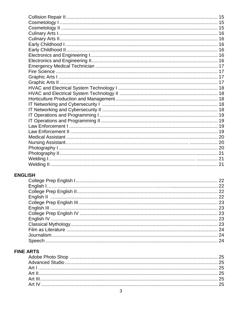## **ENGLISH**

## **FINE ARTS**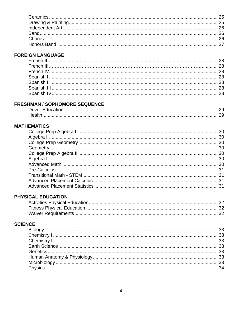## **FOREIGN LANGUAGE**

## **FRESHMAN / SOPHOMORE SEQUENCE**

## **MATHEMATICS**

## PHYSICAL EDUCATION

## **SCIENCE**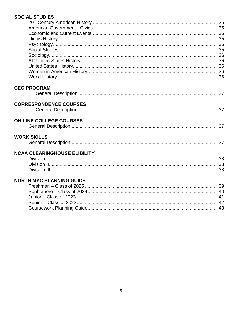## **SOCIAL STUDIES**

| <b>CEO PROGRAM</b>                  |  |
|-------------------------------------|--|
|                                     |  |
|                                     |  |
| <b>CORRESPONDENCE COURSES</b>       |  |
|                                     |  |
|                                     |  |
| <b>ON-LINE COLLEGE COURSES</b>      |  |
|                                     |  |
|                                     |  |
| <b>WORK SKILLS</b>                  |  |
|                                     |  |
| <b>NCAA CLEARINGHOUSE ELIBILITY</b> |  |
|                                     |  |
|                                     |  |
|                                     |  |
|                                     |  |
| <b>NORTH MAC PLANNING GUIDE</b>     |  |
|                                     |  |
|                                     |  |
|                                     |  |
|                                     |  |
|                                     |  |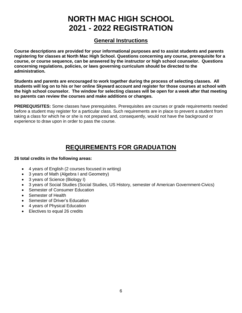# **NORTH MAC HIGH SCHOOL 2021 - 2022 REGISTRATION**

## **General Instructions**

**Course descriptions are provided for your informational purposes and to assist students and parents registering for classes at North Mac High School. Questions concerning any course, prerequisite for a course, or course sequence, can be answered by the instructor or high school counselor. Questions concerning regulations, policies, or laws governing curriculum should be directed to the administration.**

**Students and parents are encouraged to work together during the process of selecting classes. All students will log on to his or her online Skyward account and register for those courses at school with the high school counselor. The window for selecting classes will be open for a week after that meeting so parents can review the courses and make additions or changes.**

**PREREQUISITES:** Some classes have prerequisites. Prerequisites are courses or grade requirements needed before a student may register for a particular class. Such requirements are in place to prevent a student from taking a class for which he or she is not prepared and, consequently, would not have the background or experience to draw upon in order to pass the course.

## **REQUIREMENTS FOR GRADUATION**

### **26 total credits in the following areas:**

- 4 years of English (2 courses focused in writing)
- 3 years of Math (Algebra I and Geometry)
- 3 years of Science (Biology I)
- 3 years of Social Studies (Social Studies, US History, semester of American Government-Civics)
- Semester of Consumer Education
- Semester of Health
- Semester of Driver's Education
- 4 years of Physical Education
- Electives to equal 26 credits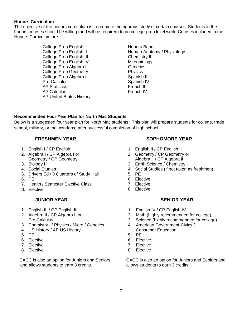### **Honors Curriculum**

The objective of the honors curriculum is to promote the rigorous study of certain courses. Students in the honors courses should be willing (and will be required) to do college-prep level work. Courses included in the Honors Curriculum are:

> College Prep English I Honors Band College Prep English III Chemistry II College Prep English IV Microbiology College Prep Algebra I Genetics College Prep Geometry **Physics** College Prep Algebra II Spanish III Pre-Calculus Spanish IV AP Statistics **French III** AP Calculus **French IV** AP United States History

College Prep English II Human Anatomy / Physiology

### **Recommended Four Year Plan for North Mac Students**

Below is a suggested four year plan for North Mac students. This plan will prepare students for college, trade school, military, or the workforce after successful completion of high school.

### **FRESHMEN YEAR**

- 1. English I / CP English I
- 2. Algebra I / CP Algebra I or Geometry / CP Geometry
- 3. Biology I
- 4. Social Studies
- 5. Drivers Ed / 3 Quarters of Study Hall
- 6. PE
- 7. Health / Semester Elective Class
- 8. Elective

### **JUNIOR YEAR**

- 1. English III / CP English III
- 2. Algebra II / CP Algebra II or Pre-Calculus
- 3. Chemistry I / Physics / Micro / Genetics
- 4. US History / AP US History
- 5. PE
- 6. Elective
- 7. Elective
- 8. Elective

CACC is also an option for Juniors and Seniors and allows students to earn 3 credits.

### **SOPHOMORE YEAR**

- 1. English II / CP English II
- 2. Geometry / CP Geometry or Algebra II / CP Algebra II
- 3. Earth Science / Chemistry I
- 4. Social Studies (if not taken as freshmen)
- 5. PE
- 6. Elective
- 7. Elective
- 8. Elective

### **SENIOR YEAR**

- 1. English IV / CP English IV
- 2. Math (highly recommended for college)
- 3. Science (highly recommended for college)
- 4. American Government-Civics / Consumer Education
- 5. PE
- 6. Elective
- 7. Elective
- 8. Elective

CACC is also an option for Juniors and Seniors and allows students to earn 3 credits.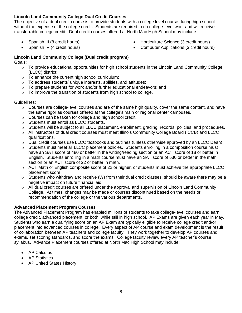### **Lincoln Land Community College Dual Credit Courses**

The objective of a dual credit course is to provide students with a college level course during high school without the expense of the college credit. Students are required to do college-level work and will receive transferrable college credit. Dual credit courses offered at North Mac High School may include:

• Spanish III (8 credit hours)

• Horticulture Science (3 credit hours)

• Spanish IV (4 credit hours)

Computer Applications (3 credit hours)

## **Lincoln Land Community College (Dual credit program)**

Goals:

- $\circ$  To provide educational opportunities for high school students in the Lincoln Land Community College (LLCC) district;
- o To enhance the current high school curriculum;
- o To address students' unique interests, abilities, and attitudes;
- $\circ$  To prepare students for work and/or further educational endeavors; and
- $\circ$  To improve the transition of students from high school to college.

### Guidelines:

- $\circ$  Courses are college-level courses and are of the same high quality, cover the same content, and have the same rigor as courses offered at the college's main or regional center campuses.
- o Courses can be taken for college and high school credit.
- o Students must enroll as LLCC students.
- $\circ$  Students will be subject to all LLCC placement, enrollment, grading, records, policies, and procedures.
- o All instructors of dual credit courses must meet Illinois Community College Board (ICCB) and LLCC qualifications.
- $\circ$  Dual credit courses use LLCC textbooks and outlines (unless otherwise approved by an LLCC Dean).
- $\circ$  Students must meet all LLCC placement policies. Students enrolling in a composition course must have an SAT score of 480 or better in the writing/reading section or an ACT score of 18 or better in English. Students enrolling in a math course must have an SAT score of 530 or better in the math section or an ACT score of 22 or better in math.
- o ACT Math or English composite score of 22 or higher, or students must achieve the appropriate LLCC placement score.
- $\circ$  Students who withdraw and receive (W) from their dual credit classes, should be aware there may be a negative impact on future financial aid.
- o All dual credit courses are offered under the approval and supervision of Lincoln Land Community College. At times, changes may be made or courses discontinued based on the needs or recommendation of the college or the various departments.

### **Advanced Placement Program Courses**

The Advanced Placement Program has enabled millions of students to take college-level courses and earn college credit, advanced placement, or both, while still in high school. AP Exams are given each year in May. Students who earn a qualifying score on an AP Exam are typically eligible to receive college credit and/or placement into advanced courses in college. Every aspect of AP course and exam development is the result of collaboration between AP teachers and college faculty. They work together to develop AP courses and exams, set scoring standards, and score the exams. College faculty review every AP teacher's course syllabus. Advance Placement courses offered at North Mac High School may include:

- AP Calculus
- AP Statistics
- AP United States History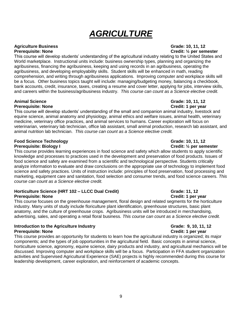# *AGRICULTURE*

# **Agriculture Business Grade: 10, 11, 12**

This course will develop students' understanding of the agricultural industry relating to the United States and World marketplace. Instructional units include: business ownership types, planning and organizing the agribusiness, financing the agribusiness, keeping and using records in an agribusiness, operating the agribusiness, and developing employability skills. Student skills will be enhanced in math, reading comprehension, and writing through agribusiness applications. Improving computer and workplace skills will be a focus. Other business topics taught will include: managing/budgeting money, balancing a checkbook, bank accounts, credit, insurance, taxes, creating a resume and cover letter, applying for jobs, interview skills, and careers within the business/agribusiness industry. *This course can count as a Science elective credit.*

## **Animal Science Grade: 10, 11, 12**

### **Prerequisite: None Credit: 1 per year**

This course will develop students' understanding of the small and companion animal industry, livestock and equine science, animal anatomy and physiology, animal ethics and welfare issues, animal health, veterinary medicine, veterinary office practices, and animal services to humans. Career exploration will focus on veterinarian, veterinary lab technician, office lab assistant, small animal production, research lab assistant, and animal nutrition lab technician. *This course can count as a Science elective credit.* 

### **Food Science Technology Grade: 10, 11, 12 Prerequisite: Biology I Credit: ½ per semester**

This course provides learning experiences in food science and safety which allow students to apply scientific knowledge and processes to practices used in the development and preservation of food products. Issues of food science and safety are examined from a scientific and technological perspective. Students critically analyze information to evaluate and draw conclusions on the appropriate use of technology to implement food science and safety practices. Units of instruction include: principles of food preservation, food processing and marketing, equipment care and sanitation, food selection and consumer trends, and food science careers. *This course can count as a Science elective credit.*

### **Horticulture Science (HRT 102 – LLCC Dual Credit) Grammer Constructs: 11, 12 Prerequisite: None Credit: 1 per year**

This course focuses on the greenhouse management, floral design and related segments for the horticulture industry. Many units of study include floriculture plant identification, greenhouse structures, basic plant anatomy, and the culture of greenhouse crops. Agribusiness units will be introduced in merchandising, advertising, sales, and operating a retail floral business. *This course can count as a Science elective credit.* 

### **Introduction to the Agriculture Industry <b>Grammary Construction Career** Grade: 9, 10, 11, 12 **Prerequisite: None Credit: 1 per year**

This course provides an opportunity for students to learn how the agricultural industry is organized; its major components; and the types of job opportunities in the agricultural field. Basic concepts in animal science, horticulture science, agronomy, equine science, dairy products and industry, and agricultural mechanics will be discussed. Improving computer and workplace skills will be a focus. Participation in FFA student organization activities and Supervised Agricultural Experience (SAE) projects is highly recommended during this course for leadership development, career exploration, and reinforcement of academic concepts.

# **Prerequisite: None Credit: ½ per semester**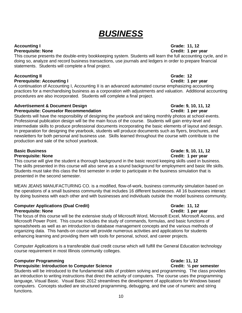# *BUSINESS*

### **Accounting I Grade: 11, 12 Prerequisite: None Credit: 1 per year**

This course presents the double-entry bookkeeping system. Students will learn the full accounting cycle, and in doing so, analyze and record business transactions, use journals and ledgers in order to prepare financial statements. Students will complete a final project.

### **Accounting II Grade: 12**

### **Prerequisite: Accounting I Credit: 1 per year**

A continuation of Accounting I, Accounting II is an advanced automated course emphasizing accounting practices for a merchandising business as a corporation with adjustments and valuation. Additional accounting procedures are also incorporated. Students will complete a final project.

### **Advertisement & Document Design Grade: 9, 10, 11, 12**

### **Prerequisite: Counselor Recommendation Credit: 1 per year Credit: 1 per year**

Students will have the responsibility of designing the yearbook and taking monthly photos at school events. Professional publication design will be the main focus of the course. Students will gain entry-level and intermediate skills to produce professional documents incorporating the basic elements of layout and design. In preparation for designing the yearbook, students will produce documents such as flyers, brochures, and newsletters for both personal and business use. Skills learned throughout the course with contribute to the production and sale of the school yearbook.

### **Prerequisite: None Credit: 1 per year**

This course will give the student a thorough background in the basic record keeping skills used in business. The skills presented in this course will also serve as a sound background for employment and basic life skills. Students must take this class the first semester in order to participate in the business simulation that is presented in the second semester.

MEAN JEANS MANUFACTURING CO. is a modified, flow-of-work, business community simulation based on the operations of a small business community that includes 16 different businesses. All 16 businesses interact by doing business with each other and with businesses and individuals outside the model business community.

### **Computer Applications (Dual Credit) Grade: 11, 12 Prerequisite: None Credit: 1 per year**

The focus of this course will be the extensive study of Microsoft Word, Microsoft Excel, Microsoft Access, and Microsoft Power Point. This course includes the study of commands, formulas, and basic functions of spreadsheets as well as an introduction to database management concepts and the various methods of organizing data. This hands-on course will provide numerous activities and applications for students enhancing learning and providing them with tools for personal, school, and career projects.

Computer Applications is a transferable dual credit course which will fulfill the General Education technology course requirement in most Illinois community colleges.

### **Computer Programming Computer Programming Computer Service Computer Service Computer Service Computer Service Computer Service Computer Service Computer Service Computer Service Computer Service Computer Service Computer**

### **Prerequisite: Introduction to Computer Science <b>Computer Science Credit:**  $\frac{1}{2}$  per semester

Students will be introduced to the fundamental skills of problem solving and programming. The class provides an introduction to writing instructions that direct the activity of computers. The course uses the programming language, Visual Basic. Visual Basic 2012 streamlines the development of applications for Windows based computers. Concepts studied are structured programming, debugging, and the use of numeric and string functions.

# **Basic Business Grade: 9, 10, 11, 12**

### 10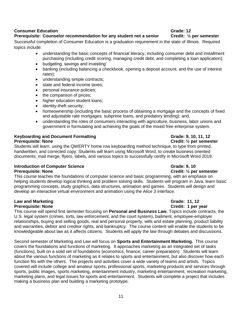### **Consumer Education Grade: 12**

### **Prerequisite: Counselor recommendation for any student not a senior****Credit: ½ per semester**

Successful completion of Consumer Education is a graduation requirement in the state of Illinois. Required topics include:

- understanding the basic concepts of financial literacy, including consumer debt and installment purchasing (including credit scoring, managing credit debt, and completing a loan application);
- budgeting, savings and investing'
- banking (including balancing a checkbook, opening a deposit account, and the use of interest rates);
- understanding simple contracts;
- state and federal income taxes;
- personal insurance policies;
- the comparison of prices;
- higher education student loans;
- identity-theft security;
- homeownership (including the basic process of obtaining a mortgage and the concepts of fixed and adjustable rate mortgages, subprime loans, and predatory lending); and,
- understanding the roles of consumers interacting with agriculture, business, labor unions and government in formulating and achieving the goals of the mixed free enterprise system.

### **Keyboarding and Document Formatting the Construction of the Grade: 9, 10, 11, 12 Prerequisite: None Credit: 1/2 per semester**

Students will learn, using the QWERTY home row keyboarding method technique, to type from printed, handwritten, and corrected copy. Students will learn using Microsoft Word, to create business oriented documents, mail merge, flyers, labels, and various topics to successfully certify in Microsoft Word 2019.

### **Introduction of Computer Science Grade: 0.10** Grade: 9, 10 **Prerequisite: None Credit:**  $\frac{1}{2}$  **per semester**

This course teaches the foundations of computer science and basic programming, with an emphasis on helping students develop logical thinking and problem solving skills. Students will program in Java, learn basic programming concepts, study graphics, data structures, animation and games. Students will design and develop an interactive virtual environment and animation using the Alice 3 interface.

### **Law and Marketing Grade: 11, 12 Prerequisite: None Credit: 1 per year**

This course will spend first semester focusing on **Personal and Business Law.** Topics include contracts, the U.S. legal system (crimes, torts, law enforcement, and the court system), bailment, employee-employer relationships, buying and selling goods, real and personal property, wills and estate planning, product liability and warranties, debtor and creditor rights, and bankruptcy. The course content will enable the students to be knowledgeable about law as it affects citizens. Students will apply the law through debates and discussions.

Second semester of Marketing and Law will focus on **Sports and Entertainment Marketing.** This course covers the foundations and functions of marketing. It approaches marketing as an integrated set of tasks (functions), built on a solid set of foundations (economics, finance, career preparation). Students will learn about the various functions of marketing as it relates to sports and entertainment, but also discover how each function fits with the others. The projects and activities cover a wide variety of teams and artists. Topics covered will include college and amateur sports, professional sports, marketing products and services through sports, public images, sports marketing, entertainment industry, marketing entertainment, recreation marketing, marketing plans, and legal issues for sports and entertainment. Students will complete a project that includes making a business plan and building a marketing prototype.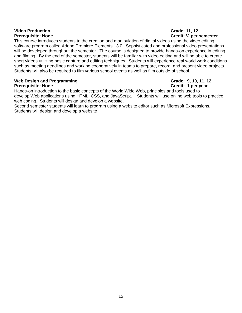# **Video Production Grade: 11, 12**

# **Prerequisite: None Credit: ½ per semester**

This course introduces students to the creation and manipulation of digital videos using the video editing software program called Adobe Premiere Elements 13.0. Sophisticated and professional video presentations will be developed throughout the semester. The course is designed to provide hands-on experience in editing and filming. By the end of the semester, students will be familiar with video editing and will be able to create short videos utilizing basic capture and editing techniques. Students will experience real world work conditions such as meeting deadlines and working cooperatively in teams to prepare, record, and present video projects. Students will also be required to film various school events as well as film outside of school.

### Web Design and Programming **Grade: 9, 10, 11, 12 Prerequisite: None Credit: 1 per year**

Hands-on introduction to the basic concepts of the World Wide Web, principles and tools used to develop Web applications using HTML, CSS, and JavaScript. Students will use online web tools to practice web coding. Students will design and develop a website.

Second semester students will learn to program using a website editor such as Microsoft Expressions. Students will design and develop a website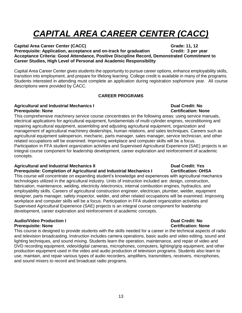# *CAPITAL AREA CAREER CENTER (CACC)*

**Capital Area Career Center (CACC) Grade: 11, 12 Prerequisite: Application, acceptance and on-track for graduation Credit: 3 per year Acceptance Criteria: Good Attendance, Positive Discipline Record, Demonstrated Commitment to Career Studies, High Level of Personal and Academic Responsibility**

Capital Area Career Center gives students the opportunity to pursue career options, enhance employability skills, transition into employment, and prepare for lifelong learning. College credit is available in many of the programs. Students interested in attending must complete an application during registration sophomore year. All course descriptions were provided by CACC.

### **CAREER PROGRAMS**

### **Agricultural and Industrial Mechanics I Dual Credit: No Prerequisite: None** Certification: None Certification: None

This comprehensive machinery service course concentrates on the following areas: using service manuals, electrical applications for agricultural equipment, fundamentals of multi-cylinder engines, reconditioning and repairing agricultural equipment, assembling and adjusting agricultural equipment, organization and management of agricultural machinery dealerships, human relations, and sales techniques. Careers such as agricultural equipment salesperson, mechanic, parts manager, sales manager, service technician, and other related occupations will be examined. Improving workplace and computer skills will be a focus. Participation in FFA student organization activities and Supervised Agricultural Experience (SAE) projects is an integral course component for leadership development, career exploration and reinforcement of academic concepts.

### **Agricultural and Industrial Mechanics II Dual Credit: Yes**

### **Prerequisite: Completion of Agricultural and Industrial Mechanics I Certification: OHSA**

This course will concentrate on expanding student's knowledge and experiences with agricultural mechanics technologies utilized in the agricultural industry. Units of instruction included are: design, construction, fabrication, maintenance, welding, electricity /electronics, internal combustion engines, hydraulics, and employability skills. Careers of agricultural construction engineer, electrician, plumber, welder, equipment designer, parts manager, safety inspector, welder, and other related occupations will be examined. Improving workplace and computer skills will be a focus. Participation in FFA student organization activities and Supervised Agricultural Experience (SAE) projects is an integral course component for leadership development, career exploration and reinforcement of academic concepts.

### **Audio/Video Production I Dual Credit: No Prerequisite: None Certification: None**

This course is designed to provide students with the skills needed for a career in the technical aspects of radio and television broadcasting. Instruction includes camera operations, basic audio and video editing, sound and lighting techniques, and sound mixing. Students learn the operation, maintenance, and repair of video and DVD recording equipment, video/digital cameras, microphones, computers, lighting/grip equipment, and other production equipment used in the video and audio production of television programs. Students also learn to use, maintain, and repair various types of audio recorders, amplifiers, transmitters, receivers, microphones, and sound mixers to record and broadcast radio programs.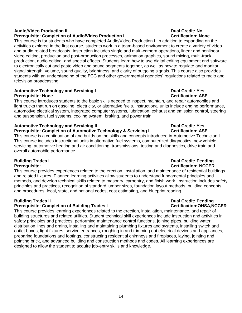### **Audio/Video Production II Dual Credit: No**

### **Prerequisite: Completion of Audio/Video Production I Certification: None**

This course is for students who have completed Audio/Video Production I. In addition to expanding on the activities explored in the first course, students work in a team-based environment to create a variety of video and audio related broadcasts. Instruction includes single and multi-camera operations, linear and nonlinear video editing, production and post-production processes, animation graphics, sound mixing, multi-track production, audio editing, and special effects. Students learn how to use digital editing equipment and software to electronically cut and paste video and sound segments together, as well as how to regulate and monitor signal strength, volume, sound quality, brightness, and clarity of outgoing signals. This course also provides students with an understanding of the FCC and other governmental agencies' regulations related to radio and television broadcasting.

### **Automotive Technology and Servicing I Dual Credit: Yes Prerequisite: None Certification: ASE**

This course introduces students to the basic skills needed to inspect, maintain, and repair automobiles and light trucks that run on gasoline, electricity, or alternative fuels. Instructional units include engine performance, automotive electrical system, integrated computer systems, lubrication, exhaust and emission control, steering and suspension, fuel systems, cooling system, braking, and power train.

## **Automotive Technology and Servicing II Dual Credit: Yes**

**Prerequisite: Completion of Automotive Technology & Servicing I Certification: ASE** 

This course is a continuation of and builds on the skills and concepts introduced in Automotive Technician I. This course includes instructional units in alternative fuel systems, computerized diagnostics, new vehicle servicing, automotive heating and air conditioning, transmissions, testing and diagnostics, drive train and overall automobile performance.

This course provides experiences related to the erection, installation, and maintenance of residential buildings and related fixtures. Planned learning activities allow students to understand fundamental principles and methods, and develop technical skills related to masonry, carpentry, and finish work. Instruction includes safety principles and practices, recognition of standard lumber sizes, foundation layout methods, building concepts and procedures, local, state, and national codes, cost estimating, and blueprint reading.

### **Prerequisite: Completion of Building Trades I Certification: OHSA, NCCER**

This course provides learning experiences related to the erection, installation, maintenance, and repair of building structures and related utilities. Student technical skill experiences include instruction and activities in safety principles and practices, performing maintenance control functions, joining pipes, building water distribution lines and drains, installing and maintaining plumbing fixtures and systems, installing switch and outlet boxes, light fixtures, service entrances, roughing in and trimming out electrical devices and appliances, preparing foundations and footings, constructing residential chimneys and fireplaces, laying, jointing and pointing brick, and advanced building and construction methods and codes. All learning experiences are designed to allow the student to acquire job-entry skills and knowledge.

### **Building Trades I Dual Credit: Pending Prerequisite: Certification: NCCER**

# **Building Trades II Dual Credit: Pending**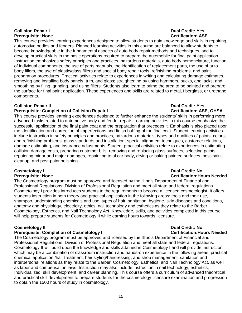### **Collision Repair I Dual Credit: Yes Prerequisite: None Certification: ASE**

This course provides learning experiences designed to allow students to gain knowledge and skills in repairing automotive bodies and fenders. Planned learning activities in this course are balanced to allow students to become knowledgeable in the fundamental aspects of auto body repair methods and techniques, and to develop practical skills in the basic operations required to prepare the automobile for final paint application. Instruction emphasizes safety principles and practices, hazardous materials, auto body nomenclature, function of individual components, the use of parts manuals, the identification of replacement parts, the use of auto body fillers, the use of plastic/glass fillers and special body repair tools, refinishing problems, and paint preparation procedures. Practical activities relate to experiences in writing and calculating damage estimates, removing and installing body panels, trim, and glass; straightening by using hammers, bucks, and jacks; and smoothing by filing, grinding, and using fillers. Students also learn to prime the area to be painted and prepare the surface for final paint application. These experiences and skills are related to metal, fiberglass, or urethane components.

### **Collision Repair II Dual Credit: Yes**

### **Prerequisite: Completion of Collision Repair I Certification: ASE, OHSA**

This course provides learning experiences designed to further enhance the students' skills in performing more advanced tasks related to automotive body and fender repair. Learning activities in this course emphasize the successful application of the final paint coat and the preparation that precedes it. Emphasis is also placed upon the identification and correction of imperfections and finish buffing of the final coat. Student learning activities include instruction in safety principles and practices, hazardous materials, types and qualities of paints, colors, and refinishing problems; glass standards and installation, special alignment techniques, customer relations, damage estimating, and insurance adjustments. Student practical activities relate to experiences in estimating collision damage costs, preparing customer bills, removing and replacing glass surfaces, selecting paints, repainting minor and major damages, repainting total car body, drying or baking painted surfaces, post-paint cleanup, and post-paint polishing.

# **Cosmetology I Dual Credit: No**

The Cosmetology program must be approved and licensed by the Illinois Department of Financial and Professional Regulations, Division of Professional Regulation and meet all state and federal regulations. Cosmetology I provides introduces students to the requirements to become a licensed cosmetologist. It offers students instruction in both theory and practical application in the following areas: tools and their use, shampoo, understanding chemicals and use, types of hair, sanitation, hygiene, skin diseases and conditions, anatomy and physiology, electricity, ethics, nail technology and esthetics as they relate to the Barber, Cosmetology, Esthetics, and Nail Technology Act. Knowledge, skills, and activities completed in this course will help prepare students for Cosmetology II while earning hours towards licensure.

### **Cosmetology II Dual Credit: No**

### **Prerequisite: Completion of Cosmetology I Certification:Hours Needed**

The Cosmetology program must be approved and licensed by the Illinois Department of Financial and Professional Regulations, Division of Professional Regulation and meet all state and federal regulations. Cosmetology II will build upon the knowledge and skills attained in Cosmetology I and will provide instruction, which may be a combination of classroom instruction and hands-on experience in the following areas: practical chemical application /hair treatment, hair styling/hairdressing, and shop management, sanitation and interpersonal relations as they relate to the Barber, Cosmetology, Esthetics, and Nail Technology Act, as well as labor and compensation laws. Instruction may also include instruction in nail technology, esthetics, Individualized skill development, and career planning. This course offers a curriculum of advanced theoretical and practical skill development to prepare students for the cosmetology licensure examination and progression to obtain the 1500 hours of study in cosmetology.

# **Prerequisite: None Certification:Hours Needed**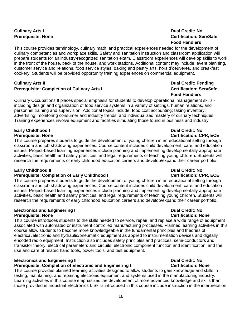# **Culinary Arts I Dual Credit: No**

This course provides terminology, culinary math, and practical experiences needed for the development of culinary competencies and workplace skills. Safety and sanitation instruction and classroom application will prepare students for an industry-recognized sanitation exam. Classroom experiences will develop skills to work in the front of the house, back of the house, and work stations. Additional content may include: event planning, customer service and relations, food service styles, baking and pastry arts, hors d'oeuveres, and breakfast cookery. Students will be provided opportunity training experiences on commercial equipment.

### **Culinary Arts II Dual Credit: Pending Prerequisite: Completion of Culinary Arts I Certification: ServSafe**

Culinary Occupations II places special emphasis for students to develop operational management skills including design and organization of food service systems in a variety of settings, human relations, and personnel training and supervision. Additional topics include: food cost accounting; taking inventory; advertising; monitoring consumer and industry trends; and individualized mastery of culinary techniques. Training experiences involve equipment and facilities simulating those found in business and industry.

### **Early Childhood I Dual Credit: No Prerequisite: None Certification: CPR, ECE**

This course prepares students to guide the development of young children in an educational setting through classroom and job shadowing experiences. Course content includes child development, care, and education issues. Project-based learning experiences include planning and implementing developmentally appropriate activities, basic health and safety practices, and legal requirements of teaching young children. Students will research the requirements of early childhood education careers and develop/expand their career portfolio.

### **Early Childhood II Dual Credit: No**

### **Prerequisite: Completion of Early Childhood I <b>CER CER COMPLEMENT CPR, ECE**

This course prepares students to guide the development of young children in an educational setting through classroom and job shadowing experiences. Course content includes child development, care, and education issues. Project-based learning experiences include planning and implementing developmentally appropriate activities, basic health and safety practices, and legal requirements of teaching young children. Students will research the requirements of early childhood education careers and develop/expand their career portfolio.

### **Electronics and Engineering I Dual Credit: No Prerequisite: None** Certification: None

This course introduces students to the skills needed to service, repair, and replace a wide range of equipment associated with automated or instrument controlled manufacturing processes. Planned learning activities in this course allow students to become more knowledgeable in the fundamental principles and theories of electrical/electronic and hydraulic/pneumatic equipment as applied to instrumentation devices and digitally encoded radio equipment. Instruction also includes safety principles and practices, semi-conductors and transistor theory, electrical parameters and circuits, electronic component function and identification, and the use and care of related hand tools, power tools, and test equipment.

### **Electronics and Engineering II Dual Credit: No**

### **Prerequisite: Completion of Electronic and Engineering I Certification: None**

This course provides planned learning activities designed to allow students to gain knowledge and skills in testing, maintaining, and repairing electronic equipment and systems used in the manufacturing industry. Learning activities in this course emphasizes the development of more advanced knowledge and skills than those provided in Industrial Electronics I. Skills introduced in this course include instruction in the interpretation

# **Prerequisite: None Certification: ServSafe Food Handlers**

# **Food Handlers**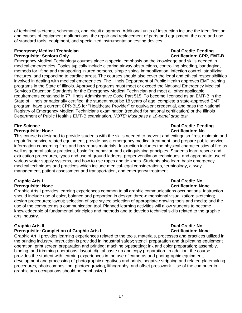of technical sketches, schematics, and circuit diagrams. Additional units of instruction include the identification and causes of equipment malfunctions, the repair and replacement of parts and equipment, the care and use of standard tools, equipment, and specialized instrumentation testing devices.

### **Emergency Medical Technician Dual Credit: Pending Prerequisite: Seniors Only Certification: CPR, EMT-B**  Certification: CPR, EMT-B

Emergency Medical Technology courses place a special emphasis on the knowledge and skills needed in medical emergencies. Topics typically include clearing airway obstructions, controlling bleeding, bandaging, methods for lifting and transporting injured persons, simple spinal immobilization, infection control, stabilizing fractures, and responding to cardiac arrest. The courses should also cover the legal and ethical responsibilities involved in dealing with medical emergencies. The Illinois Department of Public Health approves EMT training programs in the State of Illinois. Approved programs must meet or exceed the National Emergency Medical Services Education Standards for the Emergency Medical Technician and meet all other applicable requirements contained in 77 Illinois Administrative Code Part 515. To become licensed as an EMT-B in the State of Illinois or nationally certified, the student must be 18 years of age, complete a state-approved EMT program, have a current CPR-BLS for "Healthcare Provider" or equivalent credential, and pass the National Registry of Emergency Medical Technicians examination (required for national certification) or the Illinois Department of Public Health's EMT-B examination. *NOTE: Must pass a 10-panel drug test.* 

This course is designed to provide students with the skills needed to prevent and extinguish fires, maintain and repair fire service related equipment, provide basic emergency medical treatment, and prepare public service information concerning fires and hazardous materials. Instruction includes the physical characteristics of fire as well as general safety practices, basic fire behavior, and extinguishing principles. Students learn rescue and extrication procedures, types and use of ground ladders, proper ventilation techniques, and appropriate use of various water supply systems, and how to use ropes and tie knots. Students also learn basic emergency medical techniques and practices which include medical-legal considerations, terminology, airway management, patient assessment and transportation, and emergency treatment.

# **Graphic Arts I Dual Credit: No**

Graphic Arts I provides learning experiences common to all graphic communications occupations. Instruction should include use of color, balance and proportion in design; three-dimensional visualization; sketching; design procedures; layout; selection of type styles; selection of appropriate drawing tools and media; and the use of the computer as a communication tool. Planned learning activities will allow students to become knowledgeable of fundamental principles and methods and to develop technical skills related to the graphic arts industry.

### **Prerequisite: Completion of Graphic Arts I Certification: None**

Graphic Art II provides learning experiences related to the tools, materials, processes and practices utilized in the printing industry. Instruction is provided in industrial safety; stencil preparation and duplicating equipment operation; print screen preparation and printing; machine typesetting; ink and color preparation; assembly, binding, and trimming operations; layout, digital paste up and copy preparation. In addition, the course provides the student with learning experiences in the use of cameras and photographic equipment, development and processing of photographic negatives and prints, negative stripping and related platemaking procedures, photocomposition, photoengraving, lithography, and offset presswork. Use of the computer in graphic arts occupations should be emphasized.

### **Fire Science Dual Credit: Pending Prerequisite: None** Certification: No

# **Prerequisite: None Certification: None**

# **Graphic Arts II Dual Credit: No**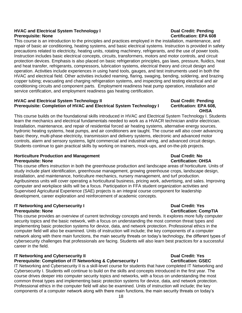### **HVAC and Electrical System Technology I Dual Credit: Pending Prerequisite: None Certification: EPA 608**

This course is an introduction to the principles and practices employed in the installation, maintenance, and repair of basic air conditioning, heating systems, and basic electrical systems. Instruction is provided in safety precautions related to electricity, heating units, rotating machinery, refrigerants, and the use of power tools. Instruction includes basic electrical concepts, circuits, transformers, motors and motor controls, and circuit protection devices. Emphasis is also placed on basic refrigeration principles, gas laws, pressure, fluidics, heat and heat transfer, refrigerants, compressors, lubrication systems, electrical theory and circuit design and operation. Activities include experiences in using hand tools, gauges, and test instruments used in both the HVAC and electrical field. Other activities included reaming, flaring, swaging, bending, soldering, and brazing copper tubing; evacuating and charging refrigeration systems, and inspecting and testing electrical and air conditioning circuits and component parts. Employment readiness heat pump operation, installation and service certification, and employment readiness gas heating certification.

### **HVAC and Electrical System Technology II Dual Credit: Pending** Prerequisite: Completion of HVAC and Electrical System Technology I Certifcation: EPA 608,

# **OHSA**

This course builds on the foundational skills introduced in HVAC and Electrical System Technology I. Students learn the mechanics and electrical fundamentals needed to work as a HVACR technician and/or electrician. Installation, maintenance, and repair of residential forced air heating systems, alternative energy sources, hydronic heating systems, heat pumps, and air conditioners are taught. The course will also cover advancing basic theory, multi-phase electricity, transmission and delivery systems, electronic and advanced motor controls, alarm and sensory systems, light commercial and industrial wiring, and advanced circuit design. Students continue to gain practical skills by working on trainers, mock-ups, and on-the-job projects.

### **Horticulture Production and Management Communisty Communisty Communisty Communisty Communisty Communisty Communisty Communisty Communisty Communisty Communisty Communisty Communisty Communisty Communisty Communisty Commun Prerequisite: None Certification: OHSA**

This course offers instruction in both the greenhouse production and landscape areas of horticulture. Units of study include plant identification, greenhouse management, growing greenhouse crops, landscape design, installation, and maintenance, horticulture mechanics, nursery management, and turf production. Agribusiness units will cover operating a horticultural business, pricing work, advertising, and sales. Improving computer and workplace skills will be a focus. Participation in FFA student organization activities and Supervised Agricultural Experience (SAE) projects is an integral course component for leadership development, career exploration and reinforcement of academic concepts.

### **IT Networking and Cybersecurity I Dual Credit: Yes Dual Credit: Yes Prerequisite: None Certification: CompTIA**

This course provides an overview of current technology concepts and trends. It explores more fully computer security topics and the basic network, with a focus on understanding the most common threat types and implementing basic protection systems for device, data, and network protection. Professional ethics in the computer field will also be examined. Units of instruction will include; the key components of a computer network along with there main functions, the main security threats on today's technology, the different types of cybersecurity challenges that professionals are facing. Students will also learn best practices for a successful career in the field.

## **IT Networking and Cybersecurity II All and Cypersecurity II All and System Credit: Yes**

### **Prerequisite: Completion of IT Networking & Cybersecurity I Certification: GSEC**

IT Networking and Cybersecurity II is a skill-level course for students that have completed IT Networking and Cybersecurity I. Students will continue to build on the skills and concepts introduced in the first year. The course drives deeper into computer security topics and networks, with a focus on understanding the most common threat types and implementing basic protection systems for device, data, and network protection. Professional ethics in the computer field will also be examined. Units of instruction will include; the key components of a computer network along with there main functions, the main security threats on today's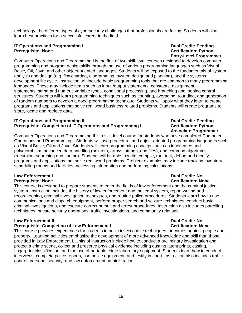technology, the different types of cybersecurity challenges that professionals are facing. Students will also learn best practices for a successful career in the field.

### **IT Operations and Programming I Dual Credit: Pending Dual Credit: Pending Prerequisite: None Certification: Python**

**Entry-Level Programmer** Computer Operations and Programming I is the first of two skill-level courses designed to develop computer programming and program design skills through the use of various programming languages such as Visual Basic, C#, Java, and other object-oriented languages. Students will be exposed to the fundamentals of system analysis and design (e.g. flowcharting, diagramming, system design and planning), and the systems development life cycle. Instruction will include basic programming tools that are common to many programming languages. These may include items such as input /output statements, constants, assignment statements, string and numeric variable types, conditional processing, and branching and looping control structures. Students will learn programming techniques such as counting, averaging, rounding, and generation of random numbers to develop a good programming technique. Students will apply what they learn to create programs and applications that solve real world business related problems. Students will create programs to store, locate and retrieve data.

### **IT Operations and Programming II Dual Credit: Pending Prerequisite: Completion of IT Operations and Programming I Certification: Python**

Computer Operations and Programming II is a skill-level course for students who have completed Computer Operations and Programming I. Students will use procedural and object-oriented programming languages such as Visual Basic, C# and Java. Students will learn programming concepts such as inheritance and polymorphism, advanced data handling (pointers, arrays, strings, and files), and common algorithms (recursion, searching and sorting). Students will be able to write, compile, run, test, debug and modify programs and applications that solve real world problems. Problem examples may include tracking inventory, scheduling rooms and facilities, accessing information and performing calculations.

### **Law Enforcement I Dual Credit: No Prerequisite: None Certification: None**

This course is designed to prepare students to enter the fields of law enforcement and the criminal justice system. Instruction includes the history of law enforcement and the legal system, report writing and recordkeeping, criminal investigation techniques, and routine police procedures. Students learn how to use communications and dispatch equipment, perform proper search and seizure techniques, conduct basic criminal investigations, and execute correct pursuit and arrest procedures. Instruction also includes patrolling techniques, private security operations, traffic investigations, and community relations.

### **Law Enforcement II Dual Credit: No**

### **Prerequisite: Completion of Law Enforcement I Certification: None**

This course provides experiences for students in basic investigative techniques for crimes against people and property. Learning activities emphasize the development of more advanced knowledge and skill than those provided in Law Enforcement I. Units of instruction include how to conduct a preliminary investigation and protect a crime scene, collect and preserve physical evidence including dusting latent prints, casting, fingerprint classification, and the use of portable crime laboratory equipment. Students learn how to conduct interviews, complete police reports, use police equipment, and testify in court. Instruction also includes traffic control, personal security, and law enforcement administration.

# **Associate Programmer**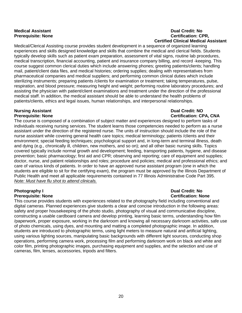### **Medical Assistant Dual Credit: No Prerequisite: None Certification: CPR, Certified Clinical Medical Assistant**

Medical/Clerical Assisting course provides student development in a sequence of organized learning experiences and skills designed knowledge and skills that combine the medical and clerical fields. Students typically develop skills such as patient exam preparation, assessment of vital signs, routine lab procedures, medical transcription, financial accounting, patient and insurance company billing, and record -keeping. This course suggest common clerical duties which include answering phones; greeting patients/clients; handling mail, patient/client data files, and medical histories; ordering supplies; dealing with representatives from pharmaceutical companies and medical suppliers; and performing common clinical duties which include sterilizing instruments; preparing patients /clients for examination or treatment; taking temperatures, pulse, respiration, and blood pressure; measuring height and weight; performing routine laboratory procedures; and assisting the physician with patient/client examinations and treatment under the direction of the professional medical staff. In addition, the medical assistant should be able to understand the health problems of patients/clients, ethics and legal issues, human relationships, and interpersonal relationships.

# **Nursing Assistant Dual Credit: NO**

The course is composed of a combination of subject matter and experiences designed to perform tasks of individuals receiving nursing services. The student learns those competencies needed to perform as a nurse assistant under the direction of the registered nurse. The units of instruction should include the role of the nurse assistant while covering general health care topics; medical terminology; patients /clients and their environment; special feeding techniques; psychological support and, in long-term and terminal illness, death and dying (e.g., chronically ill, children, new mothers, and so on); and all other basic nursing skills. Topics covered typically include normal growth and development; feeding, transporting patients, hygiene, and disease prevention; basic pharmacology; first aid and CPR; observing and reporting; care of equipment and supplies; doctor, nurse, and patient relationships and roles; procedure and policies; medical and professional ethics; and care of various kinds of patients. In order to have an approved nurse assistant program (one in which the students are eligible to sit for the certifying exam), the program must be approved by the Illinois Department of Public Health and meet all applicable requirements contained in 77 Illinois Administrative Code Part 395. *Note: Must have flu shot to attend clinicals.* 

### **Photography I Dual Credit: No Prerequisite: None Certification: None**

This course provides students with experiences related to the photography field including conventional and digital cameras. Planned experiences give students a clear and concise introduction in the following areas: safety and proper housekeeping of the photo studio, photography of visual and communicative discipline, constructing a usable cardboard camera and develop printing, learning basic terms, understanding how film /paperwork, proper exposure, working in the darkroom and knowing all necessary darkroom activities, safe use of photo chemicals, using dyes, and mounting and matting a completed photographic image. In addition, students are introduced to photographic terms, using light meters to measure natural and artificial lighting, using various lighting sources, manipulating basic backgrounds with different light sources, conducting shop operations, performing camera work, processing film and performing darkroom work on black and white and color film, printing photographic images, purchasing equipment and supplies, and the selection and use of cameras, film, lenses, accessories, tripods and filters.

# **Prerequisite: None Certification: CPA, CNA**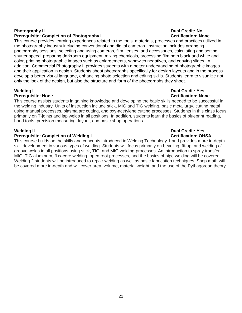### **Prerequisite: Completion of Photography I Certification: None**

This course provides learning experiences related to the tools, materials, processes and practices utilized in the photography industry including conventional and digital cameras. Instruction includes arranging photography sessions, selecting and using cameras, film, lenses, and accessories, calculating and setting shutter speed, preparing darkroom equipment, mixing chemicals, processing film both black and white and color, printing photographic images such as enlargements, sandwich negatives, and copying slides. In addition, Commercial Photography II provides students with a better understanding of photographic images and their application in design. Students shoot photographs specifically for design layouts and in the process develop a better visual language, enhancing photo selection and editing skills. Students learn to visualize not only the look of the design, but also the structure and form of the photographs they shoot.

### **Welding I Dual Credit: Yes Prerequisite: None Certification: None**

### This course assists students in gaining knowledge and developing the basic skills needed to be successful in the welding industry. Units of instruction include stick, MIG and TIG welding, basic metallurgy, cutting metal using manual processes, plasma arc cutting, and oxy-acetylene cutting processes. Students in this class focus primarily on T-joints and lap welds in all positions. In addition, students learn the basics of blueprint reading, hand tools, precision measuring, layout, and basic shop operations.

### **Prerequisite: Completion of Welding I Certification: OHSA**

This course builds on the skills and concepts introduced in Welding Technology 1 and provides more in-depth skill development in various types of welding. Students will focus primarily on beveling, fit-up, and welding of groove welds in all positions using stick, TIG, and MIG welding processes. An introduction to spray transfer MIG, TIG aluminum, flux-core welding, open root processes, and the basics of pipe welding will be covered. Welding 2 students will be introduced to repair welding as well as basic fabrication techniques. Shop math will be covered more in-depth and will cover area, volume, material weight, and the use of the Pythagorean theory.

# **Photography II Dual Credit: No**

# **Welding II Dual Credit: Yes**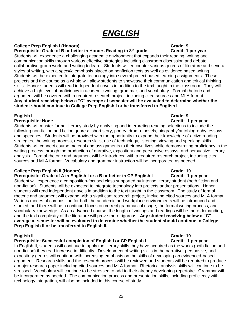# *ENGLISH*

### **College Prep English I (Honors) Grade: 9**

**Prerequisite: Grade of B or better in Honors Reading in 8th grade Credit: 1 per year**

Students will experience a challenging academic environment that expands their reading, writing and communication skills through various effective strategies including classroom discussion and debate, collaborative group work, and writing to learn. Students will encounter various genres of literature and several styles of writing, with a *specific* emphasis placed on nonfiction texts as well as evidence based writing. Students will be expected to integrate technology into several project based learning assignments. These projects and the course as a whole will allow students to showcase their communication and critical thinking skills. Honor students will read independent novels in addition to the text taught in the classroom. They will achieve a high level of proficiency in academic writing, grammar, and vocabulary. Formal rhetoric and argument will be covered with a required research project, including cited sources and MLA format. **Any student receiving below a "C" average at semester will be evaluated to determine whether the student should continue in College Prep English I or be transferred to English I.** 

### **English I Grade: 9**

### **Prerequisite: None Credit: 1 per year**

Students will master formal literacy study by analyzing and interpreting reading selections to include the following non-fiction and fiction genres: short story, poetry, drama, novels, biography/autobiography, essays and speeches. Students will be provided with the opportunity to expand their knowledge of active reading strategies, the writing process, research skills, use of technology, listening, viewing and speaking skills. Students will connect course material and assignments to their own lives while demonstrating proficiency in the writing process through the production of narrative, expository and persuasive essays, and persuasive literary analysis. Formal rhetoric and argument will be introduced with a required research project, including cited sources and MLA format. Vocabulary and grammar instruction will be incorporated as needed.

## **College Prep English II (Honors)** Grade: 10

### **Prerequisite: Grade of A in English I or a B or better in CP English I Credit: 1 per year**

Student will experience a composition-focused class supported by intense literary student (both fiction and non-fiction). Students will be expected to integrate technology into projects and/or presentations. Honor students will read independent novels in addition to the text taught in the classroom. The study of formal rhetoric and argument will expand with a significant research project, including cited sources and MLA format. Various modes of composition for both the academic and workplace environments will be introduced and studied, and there will be a continued focus on correct grammatical usage, the formal writing process, and vocabulary knowledge. As an advanced course, the length of writings and readings will be more demanding, and the text complexity of the literature will prove more rigorous. **Any student receiving below a "C" average at semester will be evaluated to determine whether the student should continue in College Prep English II or be transferred to English II.** 

### **English II Grade: 10**

### **Prerequisite: Successful completion of English I or CP English I Credit: 1 per year**

In English II, students will continue to apply the literary skills they have acquired as the works (both fiction and non-fiction) they read increase in difficulty. Development of writing skills in the narrative, persuasive, and expository genres will continue with increasing emphasis on the skills of developing an evidenced-based argument. Research skills and the research process will be reviewed and students will be required to produce a major research paper including cited sources and MLA format. Rhetorical analysis skills will continue to be stressed. Vocabulary will continue to be stressed to add to their already developing repertoire. Grammar will be incorporated as needed. The communication process and presentation skills, including proficiency with technology integration, will also be included in this course of study.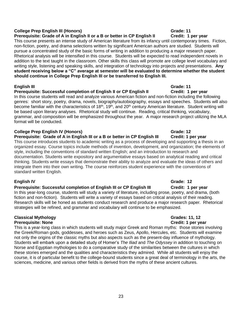### **College Prep English III (Honors) Grade: 11**

### **Prerequisite: Grade of A in English II or a B or better in CP English II Credit: 1 per year**

This course presents an intense study of American literature from its infancy until contemporary times. Fiction, non-fiction, poetry, and drama selections written by significant American authors are studied. Students will pursue a concentrated study of the basic forms of writing in addition to producing a major research paper. Rhetorical analysis will be intensified in this course. Students will be expected to read independent novels in addition to the text taught in the classroom. Other skills this class will promote are college level vocabulary and writing style, listening and speaking skills, and integration of technology into projects and presentations. **Any student receiving below a "C" average at semester will be evaluated to determine whether the student should continue in College Prep English III or be transferred to English III.** 

### **English III Grade: 11 Prerequisite: Successful completion of English II or CP English II**

In this course students will read and analyze various American fiction and non-fiction including the following genres: short story, poetry, drama, novels, biography/autobiography, essays and speeches. Students will also become familiar with the characteristics of 18<sup>th</sup>, 19<sup>th</sup>, and 20<sup>th</sup> century American literature. Student writing will be based upon literary analyses. Rhetorical study will continue. Reading, critical thinking, vocabulary, grammar, and composition will be emphasized throughout the year. A major research project utilizing the MLA format will be conducted.

### **College Prep English IV (Honors) Grade: 12**

**Prerequisite: Grade of A in English III or a B or better in CP English III Credit: 1 per year**

This course introduces students to academic writing as a process of developing and supporting a thesis in an organized essay. Course topics include methods of invention, development, and organization; the elements of style, including the conventions of standard written English; and an introduction to research and documentation. Students write expository and argumentative essays based on analytical reading and critical thinking. Students write essays that demonstrate their ability to analyze and evaluate the ideas of others and integrate them into their own writing. The course reinforces student experience with the conventions of standard written English.

### **Prerequisite: Successful completion of English III or CP English III Credit: 1 per year**

In this year-long course, students will study a variety of literature, including prose, poetry, and drama, (both fiction and non-fiction). Students will write a variety of essays based on critical analysis of their reading. Research skills will be honed as students conduct research and produce a major research paper. Rhetorical strategies will be refined, and grammar and vocabulary will continue to be emphasized.

### **Classical Mythology Grades: 11, 12 Prerequisite: None Credit: 1 per year**

This is a year-long class in which students will study major Greek and Roman myths: those stories involving the Greek/Roman gods, goddesses, and heroes such as Zeus, Apollo, Hercules, etc. Students will examine not only the origins of the classic myths but also aspects such as the present-day influence of mythology. Students will embark upon a detailed study of Homer's *The Iliad* and *The Odyssey* in addition to touching on Norse and Egyptian mythologies to do a comparative study of the similarities between the cultures in which these stories emerged and the qualities and characteristics they admired. While all students will enjoy the course, it is of particular benefit to the college-bound students since a great deal of terminology in the arts, the sciences, medicine, and various other fields is derived from the myths of these ancient cultures.

## **English IV** Grade: 12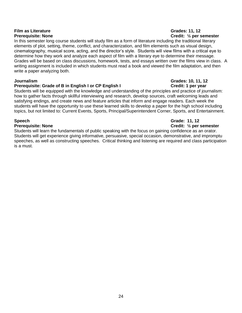# **Film as Literature Grades: 11, 12**

In this semester long course students will study film as a form of literature including the traditional literary elements of plot, setting, theme, conflict, and characterization, and film elements such as visual design, cinematography, musical score, acting, and the director's style. Students will view films with a critical eye to determine how they work and analyze each aspect of film with a literary eye to determine their message. Grades will be based on class discussions, homework, tests, and essays written over the films view in class. A writing assignment is included in which students must read a book and viewed the film adaptation, and then write a paper analyzing both.

### **Prerequisite: Grade of B in English I or CP English I Credit: 1 per year in the UP of Credit: 1 per year in the UP of Credit: 1 per year in the UP of Credit: 1 per year in the UP of Credit: 1 per year in the UP of Credit:**

Students will be equipped with the knowledge and understanding of the principles and practice of journalism: how to gather facts through skillful interviewing and research, develop sources, craft welcoming leads and satisfying endings, and create news and feature articles that inform and engage readers. Each week the students will have the opportunity to use these learned skills to develop a paper for the high school including topics, but not limited to: Current Events, Sports, Principal/Superintendent Corner, Sports, and Entertainment.

Students will learn the fundamentals of public speaking with the focus on gaining confidence as an orator. Students will get experience giving informative, persuasive, special occasion, demonstrative, and impromptu speeches, as well as constructing speeches. Critical thinking and listening are required and class participation is a must.

# **Prerequisite: None Credit: ½ per semester**

# **Journalism Grades: 10, 11, 12**

### **Speech Grade: 11, 12 Prerequisite: None Credit: ½ per semester**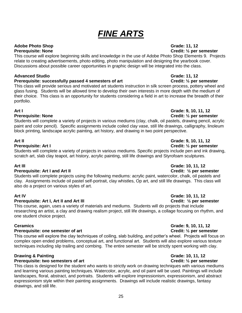# *FINE ARTS*

## **Adobe Photo Shop Grade: 11, 12**

**Prerequisite: None Credit: ½ per semester** This course will explore beginning skills and knowledge in the use of Adobe Photo Shop Elements 9. Projects relate to creating advertisements, photo editing, photo manipulation and designing the yearbook cover. Discussions about possible career opportunities in graphic design will be integrated into the class.

### **Advanced Studio Grade: 11, 12**

### **Prerequisite: successfully passed 4 semesters of art Credit:**  $\frac{1}{2}$  per semester

This class will provide serious and motivated art students instruction in silk screen process, pottery wheel and glass fusing. Students will be allowed time to develop their own interests in more depth with the medium of their choice. This class is an opportunity for students considering a field in art to increase the breadth of their portfolio.

### **Art I Grade: 9, 10, 11, 12**

### **Prerequisite: None Credit: ½ per semester**

Students will complete a variety of projects in various mediums (clay, chalk, oil pastels, drawing pencil, acrylic paint and color pencil). Specific assignments include coiled clay vase, still life drawings, calligraphy, linoleum block printing, landscape acrylic painting, art history, and drawing in two point perspective.

Students will complete a variety of projects in various mediums. Specific projects include pen and ink drawing, scratch art, slab clay teapot, art history, acrylic painting, still life drawings and Styrofoam sculptures.

### **Prerequisite: Art I and Art II Credit: ½ per semester**

Students will complete projects using the following mediums: acrylic paint, watercolor, chalk, oil pastels and clay. Assignments include oil pastel self-portrait, clay whistles, Op art, and still life drawings. This class will also do a project on various styles of art.

### **Prerequisite: Art I, Art II and Art III Credit: 1/2 per semester**

This course, again, uses a variety of materials and mediums. Students will do projects that include researching an artist, a clay and drawing realism project, still life drawings, a collage focusing on rhythm, and one student choice project.

### **Prerequisite: one semester of art Credit:**  $\frac{1}{2}$  per semester

This course will explore the clay techniques of coiling, slab building, and potter's wheel. Projects will focus on complex open ended problems, conceptual art, and functional art. Students will also explore various texture techniques including slip trailing and combing. The entire semester will be strictly spent working with clay.

### **Drawing & Painting Grade: 10, 11, 12**

### **Prerequisite: two semesters of art Credit: ½ per semester**

This class is designed for the student who wants to strictly work on drawing techniques with various mediums and learning various painting techniques. Watercolor, acrylic, and oil paint will be used. Paintings will include landscapes, floral, abstract, and portraits. Students will explore impressionism, expressionism, and abstract expressionism style within their painting assignments. Drawings will include realistic drawings, fantasy drawings, and still life.

# **Art II Grade: 9, 10, 11, 12**

## **Prerequisite: Art I Credit: ½ per semester**

### **Art III Grade: 10, 11, 12**

## **Art IV Grade: 10, 11, 12**

# **Ceramics Grade: 9, 10, 11, 12**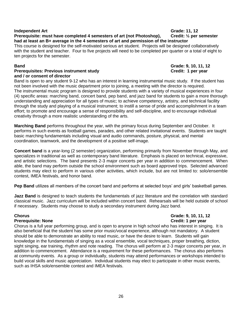### **Independent Art Completed 4** semesters of art (not Photoshop). Crade: 11, 12<br>Prerequisite: must have completed 4 semesters of art (not Photoshop). Credit: 1/2 per semester **Prerequisite: must have completed 4 semesters of art (not Photoshop), had at least an B+ average in the 4 semesters of art and permission of the instructor**

This course is designed for the self-motivated serious art student. Projects will be designed collaboratively with the student and teacher. Four to five projects will need to be completed per quarter or a total of eight to ten projects for the semester.

### **Prerequisites: Previous instrument study Credit: 1 per year and / or consent of director**

Band is open to any student 9-12 who has an interest in learning instrumental music study. If the student has not been involved with the music department prior to joining, a meeting with the director is required. The instrumental music program is designed to provide students with a variety of musical experiences in four (4) specific areas: marching band, concert band, pep band, and jazz band for students to gain a more thorough understanding and appreciation for all types of music; to achieve competency, artistry, and technical facility through the study and playing of a musical instrument; to instill a sense of pride and accomplishment in a team effort; to promote and encourage a sense of responsibility and self-discipline, and to encourage individual creativity through a more realistic understanding of the arts.

**Marching Band** performs throughout the year, with the primary focus during September and October. It performs in such events as football games, parades, and other related invitational events. Students are taught basic marching fundamentals including visual and audio commands, posture, physical, and mental coordination, teamwork, and the development of a positive self-image.

**Concert band** is a year-long (2 semester) organization, performing primarily from November through May, and specializes in traditional as well as contemporary band literature. Emphasis is placed on technical, expressive, and artistic selections. The band presents 2-3 major concerts per year in addition to commencement. When able, the band may perform outside the school environment such as board approved trips. Selected advanced students may elect to perform in various other activities, which include, but are not limited to: solo/ensemble contest, IMEA festivals, and honor band.

**Pep Band** utilizes all members of the concert band and performs at selected boys' and girls' basketball games.

**Jazz Band** is designed to teach students the fundamentals of jazz literature and the correlation with standard classical music. Jazz curriculum will be included within concert band. Rehearsals will be held outside of school if necessary. Students may choose to study a secondary instrument during Jazz band.

### **Prerequisite: None Credit: 1 per year**

**Chorus Grade: 9, 10, 11, 12**

Chorus is a full year performing group, and is open to anyone in high school who has interest in singing. It is also beneficial that the student has some prior music/vocal experience, although not mandatory. A student should be able to demonstrate an ability to read music, or have the desire to learn. Students will gain knowledge in the fundamentals of singing as a vocal ensemble, vocal techniques, proper breathing, diction, sight singing, ear training, rhythm and note reading. The chorus will perform at 2-3 major concerts per year, in addition to commencement. Attendance is a requirement for these performances. The chorus also performs at community events. As a group or individually, students may attend performances or workshops intended to build vocal skills and music appreciation. Individual students may elect to participate in other music events, such as IHSA solo/ensemble contest and IMEA festivals.

**Band Grade: 9, 10, 11, 12**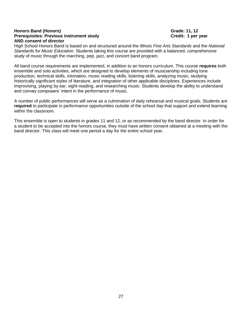### **Honors Band (Honors) Grade: 11, 12 Prerequisites: Previous instrument study Credit: 1 per year by Credit: 1 per year and Dream and Dream in the U AND consent of director**

High School Honors Band is based on and structured around the *Illinois Fine Arts Standards* and the *National Standards for Music Education*. Students taking this course are provided with a balanced, comprehensive study of music through the marching, pep, jazz, and concert band program.

All band course requirements are implemented, in addition to an honors curriculum. This course **requires** both ensemble and solo activities, which are designed to develop elements of musicianship including tone production, technical skills, intonation, music reading skills, listening skills, analyzing music, studying historically significant styles of literature, and integration of other applicable disciplines. Experiences include improvising, playing by ear, sight-reading, and researching music. Students develop the ability to understand and convey composers' intent in the performance of music.

A number of public performances will serve as a culmination of daily rehearsal and musical goals. Students are **required** to participate in performance opportunities outside of the school day that support and extend learning within the classroom.

This ensemble is open to students in grades 11 and 12, or as recommended by the band director. In order for a student to be accepted into the honors course, they must have written consent obtained at a meeting with the band director. This class will meet one period a day for the entire school year.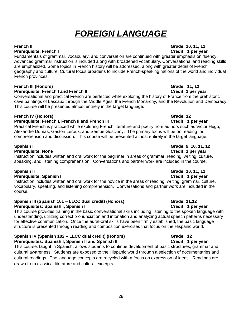# *FOREIGN LANGUAGE*

### **French II Grade: 10, 11, 12 Prerequisite: French I Credit: 1 per year**

Fundamentals of grammar, vocabulary, and conversation are continued with greater emphasis on fluency. Advanced grammar instruction is included along with broadened vocabulary. Conversational and reading skills are emphasized. Some topics in French history will be addressed, along with greater detail of French geography and culture. Cultural focus broadens to include French-speaking nations of the world and individual French provinces.

## **French III (Honors) Grade: 11, 12**

**Prerequisite: French I and French II Credit: 1 per year** 

Conversational and practical French are perfected while exploring the history of France from the prehistoric cave paintings of Lascaux through the Middle Ages, the French Monarchy, and the Revolution and Democracy. This course will be presented almost entirely in the target language.

### **French IV (Honors) Grade: 12**

### **Prerequisite: French I, French II and French III Credit: 1 per year**

Practical French is practiced while exploring French literature and poetry from authors such as Victor Hugo, Alexandre Dumas, Gaston Leroux, and Sempé Goscinny. The primary focus will be on reading for comprehension and discussion. This course will be presented almost entirely in the target language.

### **Prerequisite: None Credit: 1 per year**

Instruction includes written and oral work for the beginner in areas of grammar, reading, writing, culture, speaking, and listening comprehension. Conversations and partner work are included in the course.

### **Prerequisite: Spanish I Credit: 1 per year**

Instruction includes written and oral work for the novice in the areas of reading, writing, grammar, culture, vocabulary, speaking, and listening comprehension. Conversations and partner work are included in the course.

### **Spanish III (Spanish 101 – LLCC dual credit) (Honors) Grade: 11,12 Prerequisites: Spanish I, Spanish II Credit: 1 per year**

This course provides training in the basic conversational skills including listening to the spoken language with understanding, utilizing correct pronunciation and intonation and analyzing actual speech patterns necessary for effective communication. Once the aural-oral skills have been firmly established, the basic language structure is presented through reading and composition exercises that focus on the Hispanic world.

### Spanish IV (Spanish 102 – LLCC dual credit) (Honors) Grade: 12 **Prerequisites: Spanish I, Spanish II and Spanish III Credit: 1 per year**

This course, taught in Spanish, allows students to continue development of basic structures, grammar and cultural awareness. Students are exposed to the Hispanic world through a selection of documentaries and cultural readings. The language concepts are recycled with a focus on expression of ideas. Readings are drawn from classical literature and cultural excerpts.

# **Spanish II Grade: 10, 11, 12**

# **Spanish I Grade: 9, 10, 11, 12**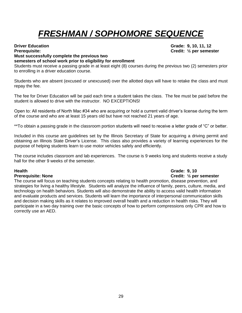# *FRESHMAN / SOPHOMORE SEQUENCE*

## **Driver Education Grade: 9, 10, 11, 12 Prerequisite: Credit: ½ per semester**

### **Must successfully complete the previous two**

### **semesters of school work prior to eligibility for enrollment**

Students must receive a passing grade in at least eight (8) courses during the previous two (2) semesters prior to enrolling in a driver education course.

Students who are absent (excused or unexcused) over the allotted days will have to retake the class and must repay the fee.

The fee for Driver Education will be paid each time a student takes the class. The fee must be paid before the student is allowed to drive with the instructor. NO EXCEPTIONS!

Open to: All residents of North Mac #34 who are acquiring or hold a current valid driver's license during the term of the course and who are at least 15 years old but have not reached 21 years of age.

\*\*To obtain a passing grade in the classroom portion students will need to receive a letter grade of "C" or better.

Included in this course are guidelines set by the Illinois Secretary of State for acquiring a driving permit and obtaining an Illinois State Driver's License. This class also provides a variety of learning experiences for the purpose of helping students learn to use motor vehicles safely and efficiently.

The course includes classroom and lab experiences. The course is 9 weeks long and students receive a study hall for the other 9 weeks of the semester.

### **Health Grade: 9, 10 Prerequisite: None Credit: ½ per semester**

The course will focus on teaching students concepts relating to health promotion, disease prevention, and strategies for living a healthy lifestyle. Students will analyze the influence of family, peers, culture, media, and technology on health behaviors. Students will also demonstrate the ability to access valid health information and evaluate products and services. Students will learn the importance of interpersonal communication skills and decision making skills as it relates to improved overall health and a reduction in health risks. They will participate in a two day training over the basic concepts of how to perform compressions only CPR and how to correctly use an AED.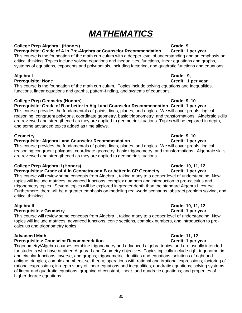# *MATHEMATICS*

### **College Prep Algebra I (Honors)** Grade: 9

### **Prerequisite: Grade of A in Pre-Algebra or Counselor Recommendation Credit: 1 per year**

This course is the foundation of the math curriculum with a deeper level of understanding and an emphasis on critical thinking. Topics include solving equations and inequalities, functions, linear equations and graphs, systems of equations, exponents and polynomials, including factoring, and quadratic functions and equations.

### **Algebra I Grade: 9,**

### **Prerequisite: None Credit: 1 per year**

This course is the foundation of the math curriculum. Topics include solving equations and inequalities, functions, linear equations and graphs, pattern-finding, and systems of equations.

### **College Prep Geometry (Honors) Grade: 9, 10**

## **Prerequisite: Grade of B or better in Alg I and Counselor Recommendation Credit: 1 per year**

This course provides the fundamentals of points, lines, planes, and angles. We will cover proofs, logical reasoning, congruent polygons, coordinate geometry, basic trigonometry, and transformations. Algebraic skills are reviewed and strengthened as they are applied to geometric situations. Topics will be explored in depth, and some advanced topics added as time allows.

### **Geometry Grade: 9, 10**

### **Prerequisite: Algebra I and Counselor Recommendation Credit: 1 per year**

This course provides the fundamentals of points, lines, planes, and angles. We will cover proofs, logical reasoning congruent polygons, coordinate geometry, basic trigonometry, and transformations. Algebraic skills are reviewed and strengthened as they are applied to geometric situations.

### **College Prep Algebra II (Honors)** Grade: 10, 11, 12

### **Prerequisites: Grade of A in Geometry or a B or better in CP Geometry Credit: 1 per year**

This course will review some concepts from Algebra I, taking many to a deeper level of understanding. New topics will include matrices, advanced functions, complex numbers and introduction to pre-calculus and trigonometry topics. Several topics will be explored in greater depth than the standard Algebra II course. Furthermore, there will be a greater emphasis on modeling real-world scenarios, abstract problem solving, and critical thinking.

### **Prerequisites: Geometry Credit: 1 per year**

This course will review some concepts from Algebra I, taking many to a deeper level of understanding. New topics will include matrices, advanced functions, conic sections, complex numbers, and introduction to precalculus and trigonometry topics.

### **Advanced Math Grade: 11, 12**

### **Prerequisites: Counselor Recommendation Credit: 1 per year**

Trigonometry/Algebra courses combine trigonometry and advanced algebra topics, and are usually intended for students who have attained Algebra I and Geometry objectives. Topics typically include right trigonometric and circular functions, inverse, and graphs; trigonometric identities and equations; solutions of right and oblique triangles; complex numbers; set theory; operations with rational and irrational expressions; factoring of rational expressions; in-depth study of linear equations and inequalities; quadratic equations; solving systems of linear and quadratic equations; graphing of constant, linear, and quadratic equations; and properties of higher degree equations.

**Algebra II Grade: 10, 11, 12**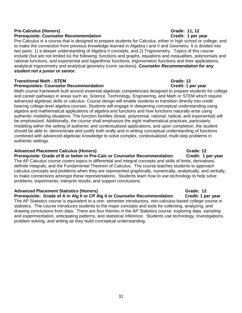### **Pre-Calculus (Honors)** Grade: 11, 12

### **Prerequisite: Counselor Recommendation Credit: 1 per year**

Pre-Calculus is a course that is designed to prepare students for Calculus, either in high school or college, and to make the connection from previous knowledge learned in Algebra I and II and Geometry. It is divided into two parts: 1) a deeper understanding of Algebra II concepts, and 2) Trigonometry. Topics of this course include (but are not limited to) the following: functions and graphs, equations and inequalities, polynomials and rational functions, and exponential and logarithmic functions, trigonometric functions and their applications, analytical trigonometry and analytical geometry (conic sections). *Counselor Recommendation for any student not a junior or senior.* 

### **Transitional Math - STEM Grade: 12**

### **Prerequisites: Counselor Recommendation Credit: 1 per year**

Math course framework built around essential algebraic competencies designed to prepare students for college and career pathways in areas such as: Science, Technology, Engineering, and Math or STEM which require advanced algebraic skills or calculus. Course design will enable students to transition directly into credit bearing college-level algebra courses. Students will engage in deepening conceptual understanding using algebra and mathematical applications of algebra and functions and how functions naturally arise using authentic modeling situations. The function families (linear, polynomial, rational, radical, and exponential) will be emphasized. Additionally, the course shall emphasize the eight mathematical practices, particularly modeling within the setting of authentic and contextualized applications, and upon completion, the student should be able to: demonstrate and justify both orally and in writing conceptual understanding of functions combined with advanced algebraic knowledge to solve complex, contextualized, multi-step problems in authentic settings.

### **Advanced Placement Calculus (Honors)** Grade: 12

**Prerequisite: Grade of B or better in Pre-Calc or Counselor Recommendation Credit: 1 per year** The AP Calculus course covers topics in differential and integral concepts and skills of limits, derivatives, definite integrals, and the Fundamental Theorem of Calculus. The course teaches students to approach calculus concepts and problems when they are represented graphically, numerically, analytically, and verbally, to make connections amongst these representations. Students learn how to use technology to help solve problems, experiments, interpret results, and support conclusions.

### **Advanced Placement Statistics (Honors)** Grade: 12

**Prerequisite: Grade of A in Alg II or CP Alg II or Counselor Recommendation Credit: 1 per year** The AP Statistics course is equivalent to a one- semester introductory, non-calculus-based college course in statistics. The course introduces students to the major concepts and tools for collecting, analyzing, and drawing conclusions from data. There are four themes in the AP Statistics course: exploring data, sampling and experimentation, anticipating patterns, and statistical inference. Students use technology, investigations, problem solving, and writing as they build conceptual understanding.

### 31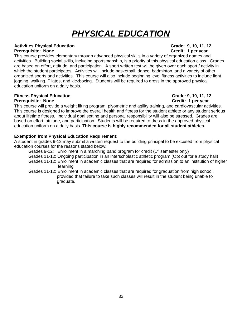# *PHYSICAL EDUCATION*

### **Activities Physical Education Grade: 9, 10, 11, 12**

### **Prerequisite: None Credit: 1 per year**

This course provides elementary through advanced physical skills in a variety of organized games and activities. Building social skills, including sportsmanship, is a priority of this physical education class. Grades are based on effort, attitude, and participation. A short written test will be given over each sport / activity in which the student participates. Activities will include basketball, dance, badminton, and a variety of other organized sports and activities. This course will also include beginning level fitness activities to include light jogging, walking, Pilates, and kickboxing. Students will be required to dress in the approved physical education uniform on a daily basis.

### **Fitness Physical Education Grade: 9, 10, 11, 12 Prerequisite: None Credit: 1 per year**

This course will provide a weight lifting program, plyometric and agility training, and cardiovascular activities. This course is designed to improve the overall health and fitness for the student athlete or any student serious about lifetime fitness. Individual goal setting and personal responsibility will also be stressed. Grades are based on effort, attitude, and participation. Students will be required to dress in the approved physical education uniform on a daily basis. **This course is highly recommended for all student athletes.** 

### **Exemption from Physical Education Requirement:**

A student in grades 9-12 may submit a written request to the building principal to be excused from physical education courses for the reasons stated below:

- Grades 9-12: Enrollment in a marching band program for credit ( $1<sup>st</sup>$  semester only)
- Grades 11-12: Ongoing participation in an interscholastic athletic program (Opt out for a study hall)
- Grades 11-12: Enrollment in academic classes that are required for admission to an institution of higher learning
- Grades 11-12: Enrollment in academic classes that are required for graduation from high school, provided that failure to take such classes will result in the student being unable to graduate.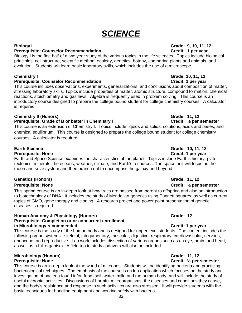# *SCIENCE*

### **Biology I Grade: 9, 10, 11, 12**

### **Prerequisite: Counselor Recommendation Credit: 1 per year**

Biology I is the first half of a two year study of the various topics in the life sciences. Topics include biological principles, cell structure, scientific method, ecology, genetics, botany, comparing plants and animals, and evolution. Students will learn basic laboratory skills, which includes the use of a microscope.

### **Prerequisite: Counselor Recommendation Credit: 1 per year**

This course includes observations, experiments, generalizations, and conclusions about composition of matter, stressing laboratory skills. Topics include properties of matter, atomic structure, compound formation, chemical reactions, stoichiometry and gas laws. Algebra is frequently used in problem solving. This course is an introductory course designed to prepare the college bound student for college chemistry courses. A calculator is required.

### **Chemistry II (Honors)** Grade: 11, 12

### **Prerequisite: Grade of B or better in Chemistry I Credit: V<sub>2</sub> per semester**

This course is an extension of Chemistry I. Topics include liquids and solids, solutions, acids and bases, and chemical equilibrium. This course is designed to prepare the college bound student for college chemistry courses. A calculator is required.

### **Prerequisite: None Credit: 1 per year**

Earth and Space Science examines the characteristics of the planet. Topics include Earth's history, plate tectonics, minerals, the oceans, weather, climate, and Earth's resources. The space unit will focus on the moon and solar system and then branch out to encompass the galaxy and beyond.

### **Genetics (Honors) Grade: 11, 12**

This spring course is an in-depth look at how traits are passed from parent to offspring and also an introduction to biotechnology of DNA. It includes the study of Mendelian genetics using Punnett squares, as well as current topics of GMO, gene therapy and cloning. A research project and power point presentation of genetic diseases is required.

### **Human Anatomy & Physiology (Honors) Grade: 12 Grade: 12 Prerequisite: Completion or or concurrent enrollment in Microbiology recommended Credit: 1 per year**

This course is the study of the human body and is designed for upper level students. The content includes the following organ systems: skeletal, integumentary, muscular, digestive, respiratory, cardiovascular, nervous, endocrine, and reproductive. Lab work includes dissection of various organs such as an eye, brain, and heart, as well as a full organism. A field trip to study cadavers will also be included.

## **Microbiology (Honors)** Grade: 11, 12

### **Prerequisite: None Credit: 1/2 per semester**

This course is an in-depth look at the world of microbes. Students will be identifying bacteria and practicing bacteriological techniques. The emphasis of the course is on lab application which focuses on the study and investigation of bacteria found in/on food, soil, water, milk, and the human body, and will include the study of useful microbial activities. Discussions of harmful microorganisms, the diseases and conditions they cause, and the body's resistance and response to such activities are also stressed. It will provide students with the basic techniques for handling equipment and working safely with bacteria.

# **Chemistry I Grade: 10, 11, 12**

# **Earth Science Grade: 10, 11, 12**

### **Prerequisite: None Credit:**  $\frac{1}{2}$  **per semester**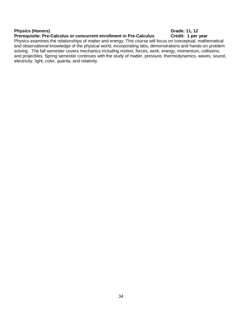### **Physics (Honors)** Grade: 11, 12

### **Prerequisite: Pre-Calculus or concurrent enrollment in Pre-Calculus Credit: 1 per year**

### Physics examines the relationships of matter and energy. This course will focus on conceptual, mathematical and observational knowledge of the physical world, incorporating labs, demonstrations and hands-on problem solving. The fall semester covers mechanics including motion, forces, work, energy, momentum, collisions, and projectiles. Spring semester continues with the study of matter, pressure, thermodynamics, waves, sound, electricity, light, color, quanta, and relativity.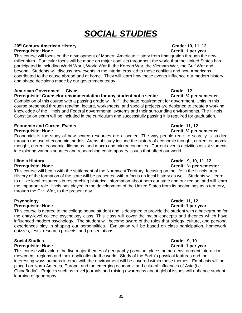# *SOCIAL STUDIES*

### **20th Century American History Grade: 10, 11, 12**

### **Prerequisite: None Credit: 1 per year**

This course will focus on the development of Modern American History from Immigration through the new millennium. Particular focus will be made on major conflicts throughout the world that the United States has participated in including World War I, World War II, the Korean War, the Vietnam War, the Gulf War and beyond. Students will discuss how events in the interim eras led to these conflicts and how Americans contributed to the cause abroad and at home. They will learn how these events influence our modern history and shape decisions made by our government today.

### **American Government – Civics Grade: 12**

### **Prerequisite: Counselor recommendation for any student not a senior Credit: ½ per semester**

Completion of this course with a passing grade will fulfill the state requirement for government. Units in this course presented through reading, lecture, worksheets, and special projects are designed to create a working knowledge of the Illinois and Federal governmental systems and their surrounding environments. The Illinois Constitution exam will be included in the curriculum and successfully passing it is required for graduation.

### **Economic and Current Events Grade: 11, 12 Prerequisite: None Credit: ½ per semester**

Economics is the study of how scarce resources are allocated. The way people react to scarcity is studied through the use of economic models. Areas of study include the history of economic thought, current economic thought, current economic dilemmas, and macro and microeconomics. Current events activities assist students in exploring various sources and researching contemporary issues that affect our world.

## **Illinois History Grade: 9, 10, 11, 12**

### **Prerequisite: None Credit:**  $\frac{1}{2}$  **per semester**

This course will begin with the settlement of the Northwest Territory, focusing on the life in the Illinois area. History of the formation of the state will be presented with a focus on local history as well. Students will learn to utilize local resources in researching historical information about both our state and our region, and will learn the important role Illinois has played in the development of the United States from its beginnings as a territory, through the Civil War, to the present day.

### **Psychology Grade: 11, 12 Prerequisite: None Credit: 1 per year**

This course is geared to the college bound student and is designed to provide the student with a background for the entry-level college psychology class. This class will cover the major concepts and theories which have influenced modern psychology. The student will become aware of the roles that biology, culture, and personal experiences play in shaping our personalities. Evaluation will be based on class participation, homework, quizzes, tests, research projects, and presentations.

## **Social Studies Grade: 9, 10 Grade: 9, 10**

### **Prerequisite: None Credit: 1 per year**

This course will explore the five major themes of geography (location, place, human-environment interaction, movement, regions) and their application to the world. Study of the Earth's physical features and the interesting ways humans interact with the environment will be covered within these themes. Emphasis will be placed on North America, Europe, and the emerging economic and cultural influences of Asia (i.e. China/India). Projects such as travel journals and raising awareness about global issues will enhance student learning of geography.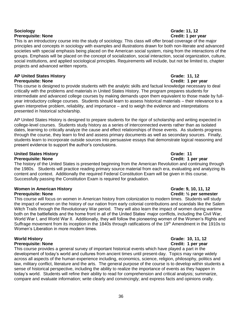### **Sociology Grade: 11, 12 Prerequisite: None Credit: 1 per year**

This is an introductory course into the study of sociology. This class will offer broad coverage of the major principles and concepts in sociology with examples and illustrations drawn for both non-literate and advanced societies with special emphasis being placed on the American social system, rising from the interactions of the groups. Emphasis will be placed on the concept of socialization, social interaction, social organization, culture, social institutions, and applied sociological principles. Requirements will include, but not be limited to, chapter projects and advanced written reports.

### **AP United States History Grade: 11, 12 Prerequisite: None Credit: 1 per year**

This course is designed to provide students with the analytic skills and factual knowledge necessary to deal critically with the problems and materials in United States History. The program prepares students for intermediate and advanced college courses by making demands upon them equivalent to those made by fullyear introductory college courses. Students should learn to assess historical materials – their relevance to a given interpretive problem, reliability, and importance – and to weigh the evidence and interpretations presented in historical scholarship.

AP United States History is designed to prepare students for the rigor of scholarship and writing expected in college-level courses. Students study history as a series of interconnected events rather than as isolated dates, learning to critically analyze the cause and effect relationships of those events. As students progress through the course, they learn to find and assess primary documents as well as secondary sources. Finally, students learn to incorporate outside sources into persuasive essays that demonstrate logical reasoning and present evidence to support the author's conclusions.

## **United States History Grade: 11**

**Prerequisite: None Credit: 1 per year** The history of the United States is presented beginning from the American Revolution and continuing through the 1980s. Students will practice reading primary source material from each era, evaluating and analyzing its content and context. Additionally the required Federal Constitution Exam will be given in this course. Successfully passing the Constitution Exam is required for graduation.

### **Women in American History Grade: 9, 10, 11, 12 Prerequisite: None Credit: 1/2 per semester**

This course will focus on women in American history from colonization to modern times. Students will study the impact of women on the history of our nation from early colonial contributions and scandals like the Salem Witch Trails through the Revolutionary War period. They will also learn the impact of women during wartime both on the battlefields and the home front in all of the United States' major conflicts, including the Civil War, World War I, and World War II. Additionally, they will follow the pioneering women of the Women's Rights and Suffrage movement from its inception in the 1840s through ratifications of the 19<sup>th</sup> Amendment in the 1910s to Women's Liberation in more modern times.

### **World History Grade: 10, 11, 12 Prerequisite: None Credit: 1 per year**

This course provides a general survey of important historical events which have played a part in the development of today's world and cultures from ancient times until present-day. Topics may range widely across all aspects of the human experience including, economics, science, religion, philosophy, politics and law, military conflict, literature and the arts. The general purpose of the course is to develop within students a sense of historical perspective, including the ability to realize the importance of events as they happen in today's world. Students will refine their ability to read for comprehension and critical analysis; summarize, compare and evaluate information; write clearly and convincingly; and express facts and opinions orally.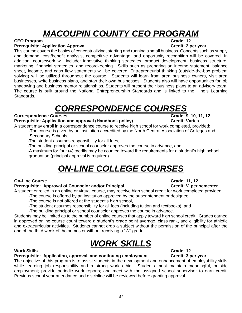# *MACOUPIN COUNTY CEO PROGRAM*

### **CEO Program Grade: 12**

### **Prerequisite: Application Approval Credit: 2 per year**

This course covers the basics of conceptualizing, starting and running a small business. Concepts such as supply and demand, cost/benefit analysis, competitive advantage, and opportunity recognition will be covered. In addition, coursework will include: innovative thinking strategies, product development, business structure, marketing, financial strategies, and recordkeeping. Skills such as preparing an income statement, balance sheet, income, and cash flow statements will be covered. Entrepreneurial thinking (outside-the-box problem solving) will be utilized throughout the course. Students will learn from area business owners, visit area businesses, write business plans, and start their own businesses. Students also will have opportunities for job shadowing and business mentor relationships. Students will present their business plans to an advisory team. The course is built around the National Entrepreneurship Standards and is linked to the Illinois Learning Standards.

# *CORRESPONDENCE COURSES*

### **Correspondence Courses Grade: 9, 10, 11, 12**

### **Prerequisite: Application and approval (Handbook policy) Credit: Varies**

A student may enroll in a correspondence course to receive high school for work completed, provided: -The course is given by an institution accredited by the North Central Association of Colleges and Secondary Schools,

- -The student assumes responsibility for all fees,
- -The building principal or school counselor approves the course in advance, and

 -A maximum for four (4) credits may be counted toward the requirements for a student's high school graduation (principal approval is required).

# *ON-LINE COLLEGE COURSES*

### **On-Line Course Grade: 11, 12**

### **Prerequisite: Approval of Counselor and/or Principal Credit: 1/2 per semester**

A student enrolled in an online or virtual course, may receive high school credit for work completed provided:

- -The course is offered by an institution approved by the superintendent or designee,
	- -The course is not offered at the student's high school,
	- -The student assumes responsibility for all fees (including tuition and textbooks), and
	- -The building principal or school counselor approves the course in advance.

Students may be limited as to the number of online courses that apply toward high school credit. Grades earned in approved online course count toward a student's grade point average, class rank, and eligibility for athletic and extracurricular activities. Students cannot drop a subject without the permission of the principal after the end of the third week of the semester without receiving a "W" grade.

# *WORK SKILLS*

### **Work Skills Grade: 12**

### **Prerequisite: Application, approval, and continuing employment Credit: 3 per year**

The objective of this program is to assist students in the development and enhancement of employability skills while learning job responsibility and a strong work ethic. Students must maintain meaningful, outside employment; provide periodic work reports; and meet with the assigned school supervisor to earn credit. Previous school year attendance and discipline will be reviewed before granting approval.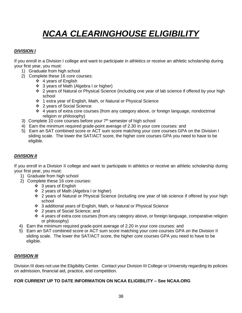# *NCAA CLEARINGHOUSE ELIGIBILITY*

### *DIVISION I*

If you enroll in a Division I college and want to participate in athletics or receive an athletic scholarship during your first year, you must:

- 1) Graduate from high school
- 2) Complete these 16 core courses:
	- ❖ 4 years of English
	- ❖ 3 years of Math (Algebra I or higher)
	- 2 years of Natural or Physical Science (including one year of lab science if offered by your high school
	- 1 extra year of English, Math, or Natural or Physical Science
	- 2 years of Social Science
	- 4 years of extra core courses (from any category above, or foreign language, nondoctrinal religion or philosophy)
- 3) Complete 10 core courses before your  $7<sup>th</sup>$  semester of high school
- 4) Earn the minimum required grade-point average of 2.30 in your core courses: and
- 5) Earn an SAT combined score or ACT sum score matching your core courses GPA on the Division I sliding scale. The lower the SAT/ACT score, the higher core courses GPA you need to have to be eligible.

### *DIVISION II*

If you enroll in a Division II college and want to participate in athletics or receive an athletic scholarship during your first year, you must:

- 1) Graduate from high school
- 2) Complete these 16 core courses:
	- $\div$  3 years of English
	- ❖ 2 years of Math (Algebra I or higher)
	- 2 years of Natural or Physical Science (including one year of lab science if offered by your high school
	- 3 additional years of English, Math, or Natural or Physical Science
	- 2 years of Social Science; and
	- $\div$  4 years of extra core courses (from any category above, or foreign language, comparative religion or philosophy)
- 4) Earn the minimum required grade-point average of 2.20 in your core courses: and
- 5) Earn an SAT combined score or ACT sum score matching your core courses GPA on the Division II sliding scale. The lower the SAT/ACT score, the higher core courses GPA you need to have to be eligible.

### *DIVISION III*

Division III does not use the Eligibility Center. Contact your Division III College or University regarding its policies on admission, financial aid, practice, and competition.

### **FOR CURRENT UP TO DATE INFORMATION ON NCAA ELIGIBILITY – See NCAA.ORG**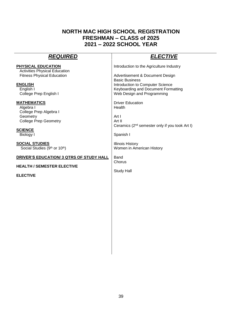## **NORTH MAC HIGH SCHOOL REGISTRATION FRESHMAN – CLASS of 2025 2021 – 2022 SCHOOL YEAR**

| <b>REQUIRED</b>                                                                                                                             | <u>ELECTIVE</u>                                                                                                                 |
|---------------------------------------------------------------------------------------------------------------------------------------------|---------------------------------------------------------------------------------------------------------------------------------|
| PHYSICAL EDUCATION                                                                                                                          | Introduction to the Agriculture Industry                                                                                        |
| <b>Activities Physical Education</b>                                                                                                        | Advertisement & Document Design                                                                                                 |
| <b>Fitness Physical Education</b>                                                                                                           | <b>Basic Business</b>                                                                                                           |
| <b>ENGLISH</b>                                                                                                                              | Introduction to Computer Science                                                                                                |
| English I                                                                                                                                   | Keyboarding and Document Formatting                                                                                             |
| College Prep English I                                                                                                                      | Web Design and Programming                                                                                                      |
| <b>MATHEMATICS</b><br>Algebra I<br>College Prep Algebra I<br>Geometry<br><b>College Prep Geometry</b><br><b>SCIENCE</b><br><b>Biology I</b> | <b>Driver Education</b><br>Health<br>Art I<br>Art II<br>Ceramics (2 <sup>nd</sup> semester only if you took Art I)<br>Spanish I |
| <b>SOCIAL STUDIES</b>                                                                                                                       | <b>Illinois History</b>                                                                                                         |
| Social Studies (9th or 10th)                                                                                                                | Women in American History                                                                                                       |
| <b>DRIVER'S EDUCATION/ 3 QTRS OF STUDY HALL</b>                                                                                             | Band                                                                                                                            |
| <b>HEALTH / SEMESTER ELECTIVE</b>                                                                                                           | Chorus                                                                                                                          |
| <b>ELECTIVE</b>                                                                                                                             | <b>Study Hall</b>                                                                                                               |
|                                                                                                                                             |                                                                                                                                 |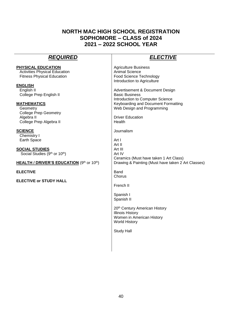## **NORTH MAC HIGH SCHOOL REGISTRATION SOPHOMORE – CLASS of 2024 2021 – 2022 SCHOOL YEAR**

## *REQUIRED ELECTIVE*

Agriculture Business Animal Science Food Science Technology Introduction to Agriculture

Advertisement & Document Design Basic Business Introduction to Computer Science Keyboarding and Document Formatting Web Design and Programming

Driver Education Health

Journalism

Art I Art II Art III Art IV Ceramics (Must have taken 1 Art Class) Drawing & Painting (Must have taken 2 Art Classes)

Band **Chorus** 

French II

Spanish I Spanish II

20th Century American History Illinois History Women in American History World History

Study Hall

### **PHYSICAL EDUCATION Activities Physical Education**

Fitness Physical Education

**ENGLISH**

English II College Prep English II

### **MATHEMATICS**

Geometry College Prep Geometry Algebra II College Prep Algebra II

### **SCIENCE**

Chemistry I Earth Space

**SOCIAL STUDIES** Social Studies (9<sup>th</sup> or 10<sup>th</sup>)

**HEALTH / DRIVER'S EDUCATION** (9th or 10th)

**ELECTIVE**

**ELECTIVE or STUDY HALL**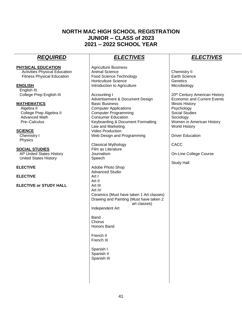## **NORTH MAC HIGH SCHOOL REGISTRATION JUNIOR – CLASS of 2023 2021 – 2022 SCHOOL YEAR**

### **PHYSICAL EDUCATION**

**Activities Physical Education** Fitness Physical Education

### **ENGLISH**

 English III College Prep English III

### **MATHEMATICS**

Algebra II College Prep Algebra II Advanced Math Pre–Calculus

### **SCIENCE**

 Chemistry I Physics

### **SOCIAL STUDIES**

 AP United States History United States History

### **ELECTIVE**

**ELECTIVE**

### **ELECTIVE or STUDY HALL**

## *REQUIRED ELECTIVES ELECTIVES*

Agriculture Business Animal Science Food Science Technology Horticulture Science Introduction to Agriculture

Accounting I Advertisement & Document Design Basic Business Computer Applications Computer Programming Consumer Education Keyboarding & Document Formatting Law and Marketing Video Production Web Design and Programming

Classical Mythology Film as Literature Journalism Speech Adobe Photo Shop Advanced Studio Art I Art II Art III

Art IV Ceramics (Must have taken 1 Art classes) Drawing and Painting (Must have taken 2 art classes)

Independent Art

Band **Chorus** Honors Band

French II French III

Spanish I Spanish II Spanish III

Chemistry II Earth Science **Genetics Microbiology** 

20th Century American History Economic and Current Events Illinois History Psychology Social Studies Sociology Women in American History World History

Driver Education

CACC

On-Line College Course

Study Hall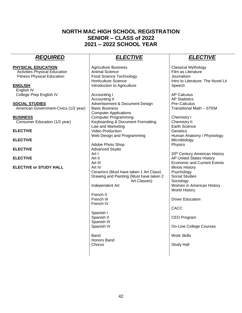## **NORTH MAC HIGH SCHOOL REGISTRATION SENIOR – CLASS of 2022 2021 – 2022 SCHOOL YEAR**

## *REQUIRED ELECTIVE ELECTIVE*

**PHYSICAL EDUCATION**  Activities Physical Education Fitness Physical Education

**ENGLISH** English IV College Prep English IV

**SOCIAL STUDIES** American Government-Civics (1/2 year)

**BUSINESS** Consumer Education (1/2 year)

**ELECTIVE**

**ELECTIVE**

**ELECTIVE**

**ELECTIVE** 

**ELECTIVE or STUDY HALL** 

Agriculture Business Animal Science Food Science Technology Horticulture Science Introduction to Agriculture

Accounting I Accounting II Advertisement & Document Design Basic Business Computer Applications Computer Programming Keyboarding & Document Formatting Law and Marketing Video Production Web Design and Programming

Adobe Photo Shop Advanced Studio Art I Art II Art III Art IV Ceramics (Must have taken 1 Art Class) Drawing and Painting (Must have taken 2 Art Classes)

Independent Art

French II French III French IV

Spanish I Spanish II Spanish III Spanish IV

Band Honors Band Chorus

Classical Mythology Film as Literature Journalism Intro to Literature: The Novel Lit Speech

AP Calculus AP Statistics Pre–Calculus Transitional Math – STEM

Chemistry I Chemistry II Earth Science **Genetics** Human Anatomy / Physiology Microbiology Physics

20th Century American History AP United States History Economic and Current Events Illinois History Psychology Social Studies **Sociology** Women in American History World History

Driver Education

CACC

CEO Program

On-Line College Courses

Work Skills

Study Hall